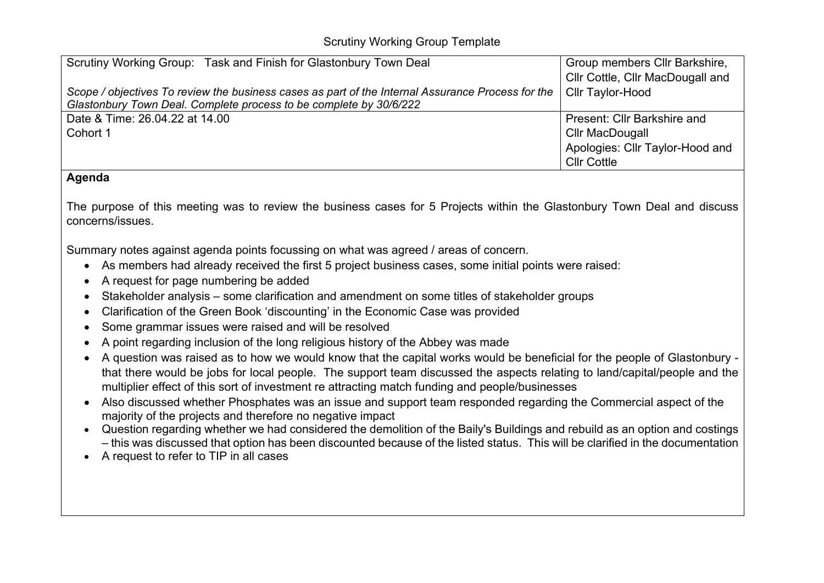| Scrutiny Working Group: Task and Finish for Glastonbury Town Deal                                 | Group members Cllr Barkshire,<br>Cllr Cottle, Cllr MacDougall and |
|---------------------------------------------------------------------------------------------------|-------------------------------------------------------------------|
| Scope / objectives To review the business cases as part of the Internal Assurance Process for the | Cllr Taylor-Hood                                                  |
| Glastonbury Town Deal. Complete process to be complete by 30/6/222                                |                                                                   |
| Date & Time: 26.04.22 at 14.00                                                                    | Present: Cllr Barkshire and                                       |
| Cohort 1                                                                                          | Cllr MacDougall                                                   |
|                                                                                                   | Apologies: Cllr Taylor-Hood and                                   |
|                                                                                                   | <b>Cllr Cottle</b>                                                |
| Agenda                                                                                            |                                                                   |

The purpose of this meeting was to review the business cases for 5 Projects within the Glastonbury Town Deal and discuss concerns/issues.

Summary notes against agenda points focussing on what was agreed / areas of concern.

- As members had already received the first 5 project business cases, some initial points were raised:
- A request for page numbering be added
- Stakeholder analysis some clarification and amendment on some titles of stakeholder groups
- Clarification of the Green Book 'discounting' in the Economic Case was provided
- Some grammar issues were raised and will be resolved
- A point regarding inclusion of the long religious history of the Abbey was made
- A question was raised as to how we would know that the capital works would be beneficial for the people of Glastonbury that there would be jobs for local people. The support team discussed the aspects relating to land/capital/people and the multiplier effect of this sort of investment re attracting match funding and people/businesses
- Also discussed whether Phosphates was an issue and support team responded regarding the Commercial aspect of the majority of the projects and therefore no negative impact
- Question regarding whether we had considered the demolition of the Baily's Buildings and rebuild as an option and costings – this was discussed that option has been discounted because of the listed status. This will be clarified in the documentation
- A request to refer to TIP in all cases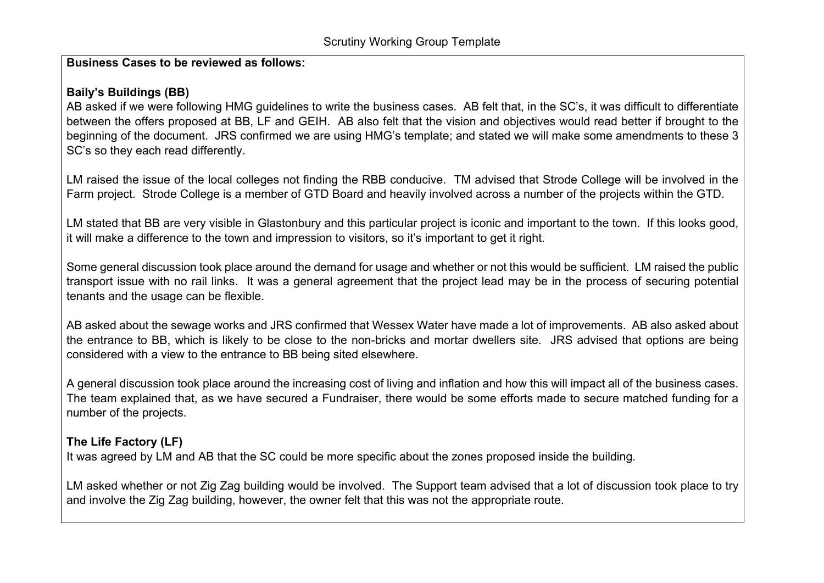#### **Business Cases to be reviewed as follows:**

## **Baily's Buildings (BB)**

AB asked if we were following HMG guidelines to write the business cases. AB felt that, in the SC's, it was difficult to differentiate between the offers proposed at BB, LF and GEIH. AB also felt that the vision and objectives would read better if brought to the beginning of the document. JRS confirmed we are using HMG's template; and stated we will make some amendments to these 3 SC's so they each read differently.

LM raised the issue of the local colleges not finding the RBB conducive. TM advised that Strode College will be involved in the Farm project. Strode College is a member of GTD Board and heavily involved across a number of the projects within the GTD.

LM stated that BB are very visible in Glastonbury and this particular project is iconic and important to the town. If this looks good, it will make a difference to the town and impression to visitors, so it's important to get it right.

Some general discussion took place around the demand for usage and whether or not this would be sufficient. LM raised the public transport issue with no rail links. It was a general agreement that the project lead may be in the process of securing potential tenants and the usage can be flexible.

AB asked about the sewage works and JRS confirmed that Wessex Water have made a lot of improvements. AB also asked about the entrance to BB, which is likely to be close to the non-bricks and mortar dwellers site. JRS advised that options are being considered with a view to the entrance to BB being sited elsewhere.

A general discussion took place around the increasing cost of living and inflation and how this will impact all of the business cases. The team explained that, as we have secured a Fundraiser, there would be some efforts made to secure matched funding for a number of the projects.

# **The Life Factory (LF)**

It was agreed by LM and AB that the SC could be more specific about the zones proposed inside the building.

LM asked whether or not Zig Zag building would be involved. The Support team advised that a lot of discussion took place to try and involve the Zig Zag building, however, the owner felt that this was not the appropriate route.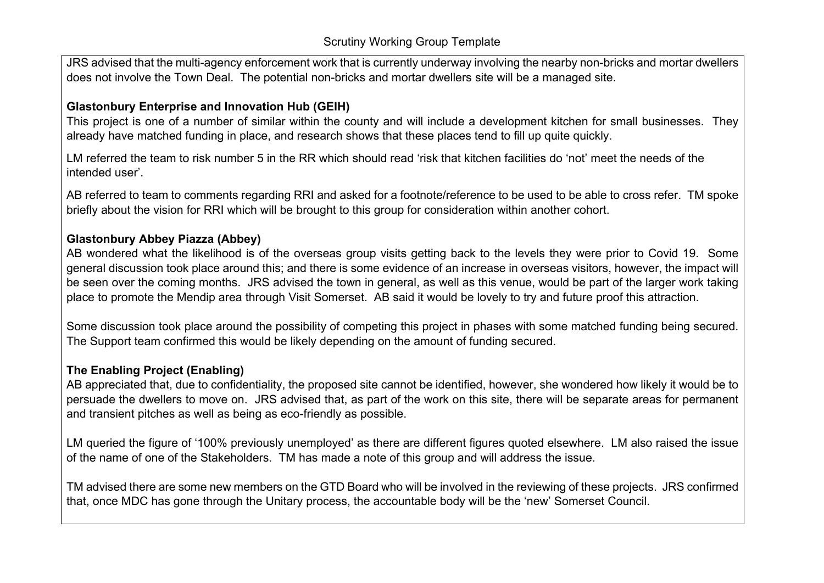JRS advised that the multi-agency enforcement work that is currently underway involving the nearby non-bricks and mortar dwellers does not involve the Town Deal. The potential non-bricks and mortar dwellers site will be a managed site.

## **Glastonbury Enterprise and Innovation Hub (GEIH)**

This project is one of a number of similar within the county and will include a development kitchen for small businesses. They already have matched funding in place, and research shows that these places tend to fill up quite quickly.

LM referred the team to risk number 5 in the RR which should read 'risk that kitchen facilities do 'not' meet the needs of the intended user'.

AB referred to team to comments regarding RRI and asked for a footnote/reference to be used to be able to cross refer. TM spoke briefly about the vision for RRI which will be brought to this group for consideration within another cohort.

#### **Glastonbury Abbey Piazza (Abbey)**

AB wondered what the likelihood is of the overseas group visits getting back to the levels they were prior to Covid 19. Some general discussion took place around this; and there is some evidence of an increase in overseas visitors, however, the impact will be seen over the coming months. JRS advised the town in general, as well as this venue, would be part of the larger work taking place to promote the Mendip area through Visit Somerset. AB said it would be lovely to try and future proof this attraction.

Some discussion took place around the possibility of competing this project in phases with some matched funding being secured. The Support team confirmed this would be likely depending on the amount of funding secured.

#### **The Enabling Project (Enabling)**

AB appreciated that, due to confidentiality, the proposed site cannot be identified, however, she wondered how likely it would be to persuade the dwellers to move on. JRS advised that, as part of the work on this site, there will be separate areas for permanent and transient pitches as well as being as eco-friendly as possible.

LM queried the figure of '100% previously unemployed' as there are different figures quoted elsewhere. LM also raised the issue of the name of one of the Stakeholders. TM has made a note of this group and will address the issue.

TM advised there are some new members on the GTD Board who will be involved in the reviewing of these projects. JRS confirmed that, once MDC has gone through the Unitary process, the accountable body will be the 'new' Somerset Council.